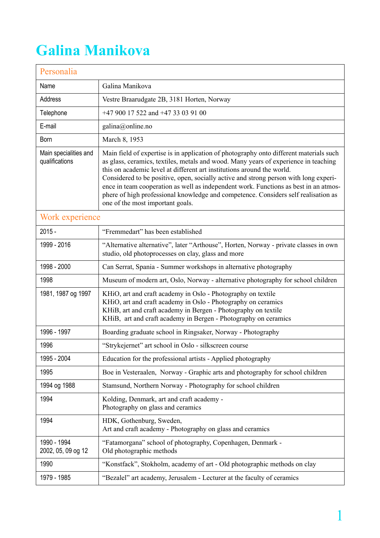## **Galina Manikova**

| Personalia                              |                                                                                                                                                                                                                                                                                                                                                                                                                                                                                                                                                                   |  |
|-----------------------------------------|-------------------------------------------------------------------------------------------------------------------------------------------------------------------------------------------------------------------------------------------------------------------------------------------------------------------------------------------------------------------------------------------------------------------------------------------------------------------------------------------------------------------------------------------------------------------|--|
| Name                                    | Galina Manikova                                                                                                                                                                                                                                                                                                                                                                                                                                                                                                                                                   |  |
| Address                                 | Vestre Braarudgate 2B, 3181 Horten, Norway                                                                                                                                                                                                                                                                                                                                                                                                                                                                                                                        |  |
| Telephone                               | +47 900 17 522 and +47 33 03 91 00                                                                                                                                                                                                                                                                                                                                                                                                                                                                                                                                |  |
| E-mail                                  | galina@online.no                                                                                                                                                                                                                                                                                                                                                                                                                                                                                                                                                  |  |
| Born                                    | March 8, 1953                                                                                                                                                                                                                                                                                                                                                                                                                                                                                                                                                     |  |
| Main specialities and<br>qualifications | Main field of expertise is in application of photography onto different materials such<br>as glass, ceramics, textiles, metals and wood. Many years of experience in teaching<br>this on academic level at different art institutions around the world.<br>Considered to be positive, open, socially active and strong person with long experi-<br>ence in team cooperation as well as independent work. Functions as best in an atmos-<br>phere of high professional knowledge and competence. Considers self realisation as<br>one of the most important goals. |  |
| Work experience                         |                                                                                                                                                                                                                                                                                                                                                                                                                                                                                                                                                                   |  |
| $2015 -$                                | "Fremmedart" has been established                                                                                                                                                                                                                                                                                                                                                                                                                                                                                                                                 |  |
| 1999 - 2016                             | "Alternative alternative", later "Arthouse", Horten, Norway - private classes in own<br>studio, old photoprocesses on clay, glass and more                                                                                                                                                                                                                                                                                                                                                                                                                        |  |
| 1998 - 2000                             | Can Serrat, Spania - Summer workshops in alternative photography                                                                                                                                                                                                                                                                                                                                                                                                                                                                                                  |  |
| 1998                                    | Museum of modern art, Oslo, Norway - alternative photography for school children                                                                                                                                                                                                                                                                                                                                                                                                                                                                                  |  |
| 1981, 1987 og 1997                      | KHiO, art and craft academy in Oslo - Photography on textile<br>KHiO, art and craft academy in Oslo - Photography on ceramics<br>KHiB, art and craft academy in Bergen - Photography on textile<br>KHiB, art and craft academy in Bergen - Photography on ceramics                                                                                                                                                                                                                                                                                                |  |
| 1996 - 1997                             | Boarding graduate school in Ringsaker, Norway - Photography                                                                                                                                                                                                                                                                                                                                                                                                                                                                                                       |  |
| 1996                                    | "Strykejernet" art school in Oslo - silkscreen course                                                                                                                                                                                                                                                                                                                                                                                                                                                                                                             |  |
| 1995 - 2004                             | Education for the professional artists - Applied photography                                                                                                                                                                                                                                                                                                                                                                                                                                                                                                      |  |
| 1995                                    | Boe in Vesteraalen, Norway - Graphic arts and photography for school children                                                                                                                                                                                                                                                                                                                                                                                                                                                                                     |  |
| 1994 og 1988                            | Stamsund, Northern Norway - Photography for school children                                                                                                                                                                                                                                                                                                                                                                                                                                                                                                       |  |
| 1994                                    | Kolding, Denmark, art and craft academy -<br>Photography on glass and ceramics                                                                                                                                                                                                                                                                                                                                                                                                                                                                                    |  |
| 1994                                    | HDK, Gothenburg, Sweden,<br>Art and craft academy - Photography on glass and ceramics                                                                                                                                                                                                                                                                                                                                                                                                                                                                             |  |
| 1990 - 1994<br>2002, 05, 09 og 12       | "Fatamorgana" school of photography, Copenhagen, Denmark -<br>Old photographic methods                                                                                                                                                                                                                                                                                                                                                                                                                                                                            |  |
| 1990                                    | "Konstfack", Stokholm, academy of art - Old photographic methods on clay                                                                                                                                                                                                                                                                                                                                                                                                                                                                                          |  |
| 1979 - 1985                             | "Bezalel" art academy, Jerusalem - Lecturer at the faculty of ceramics                                                                                                                                                                                                                                                                                                                                                                                                                                                                                            |  |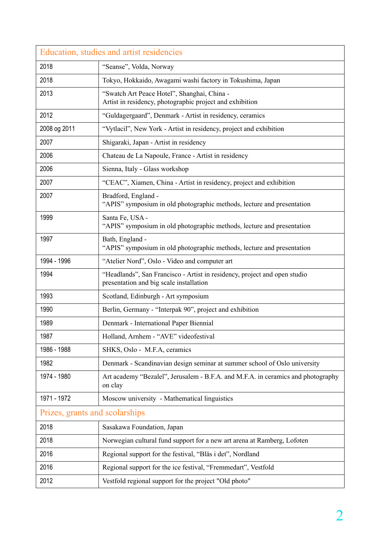| Education, studies and artist residencies |                                                                                                                      |  |
|-------------------------------------------|----------------------------------------------------------------------------------------------------------------------|--|
| 2018                                      | "Seanse", Volda, Norway                                                                                              |  |
| 2018                                      | Tokyo, Hokkaido, Awagami washi factory in Tokushima, Japan                                                           |  |
| 2013                                      | "Swatch Art Peace Hotel", Shanghai, China -<br>Artist in residency, photographic project and exhibition              |  |
| 2012                                      | "Guldagergaard", Denmark - Artist in residency, ceramics                                                             |  |
| 2008 og 2011                              | "Vytlacil", New York - Artist in residency, project and exhibition                                                   |  |
| 2007                                      | Shigaraki, Japan - Artist in residency                                                                               |  |
| 2006                                      | Chateau de La Napoule, France - Artist in residency                                                                  |  |
| 2006                                      | Sienna, Italy - Glass workshop                                                                                       |  |
| 2007                                      | "CEAC", Xiamen, China - Artist in residency, project and exhibition                                                  |  |
| 2007                                      | Bradford, England -<br>"APIS" symposium in old photographic methods, lecture and presentation                        |  |
| 1999                                      | Santa Fe, USA -<br>"APIS" symposium in old photographic methods, lecture and presentation                            |  |
| 1997                                      | Bath, England -<br>"APIS" symposium in old photographic methods, lecture and presentation                            |  |
| 1994 - 1996                               | "Atelier Nord", Oslo - Video and computer art                                                                        |  |
| 1994                                      | "Headlands", San Francisco - Artist in residency, project and open studio<br>presentation and big scale installation |  |
| 1993                                      | Scotland, Edinburgh - Art symposium                                                                                  |  |
| 1990                                      | Berlin, Germany - "Interpak 90", project and exhibition                                                              |  |
| 1989                                      | Denmark - International Paper Biennial                                                                               |  |
| 1987                                      | Holland, Arnhem - "AVE" videofestival                                                                                |  |
| 1986 - 1988                               | SHKS, Oslo - M.F.A, ceramics                                                                                         |  |
| 1982                                      | Denmark - Scandinavian design seminar at summer school of Oslo university                                            |  |
| 1974 - 1980                               | Art academy "Bezalel", Jerusalem - B.F.A. and M.F.A. in ceramics and photography<br>on clay                          |  |
| 1971 - 1972                               | Moscow university - Mathematical linguistics                                                                         |  |
| Prizes, grants and scolarships            |                                                                                                                      |  |
| 2018                                      | Sasakawa Foundation, Japan                                                                                           |  |
| 2018                                      | Norwegian cultural fund support for a new art arena at Ramberg, Lofoten                                              |  |
| 2016                                      | Regional support for the festival, "Blås i det", Nordland                                                            |  |
| 2016                                      | Regional support for the ice festival, "Fremmedart", Vestfold                                                        |  |
| 2012                                      | Vestfold regional support for the project "Old photo"                                                                |  |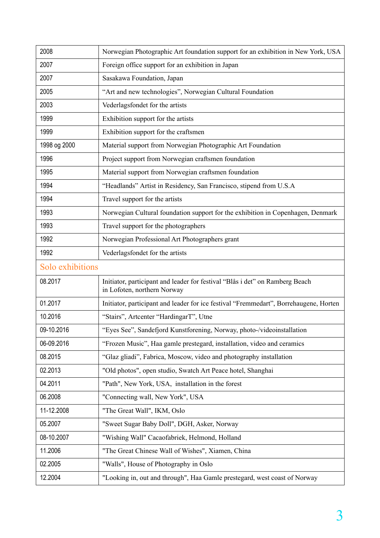| 2008             | Norwegian Photographic Art foundation support for an exhibition in New York, USA                            |  |
|------------------|-------------------------------------------------------------------------------------------------------------|--|
| 2007             | Foreign office support for an exhibition in Japan                                                           |  |
| 2007             | Sasakawa Foundation, Japan                                                                                  |  |
| 2005             | "Art and new technologies", Norwegian Cultural Foundation                                                   |  |
| 2003             | Vederlagsfondet for the artists                                                                             |  |
| 1999             | Exhibition support for the artists                                                                          |  |
| 1999             | Exhibition support for the craftsmen                                                                        |  |
| 1998 og 2000     | Material support from Norwegian Photographic Art Foundation                                                 |  |
| 1996             | Project support from Norwegian craftsmen foundation                                                         |  |
| 1995             | Material support from Norwegian craftsmen foundation                                                        |  |
| 1994             | "Headlands" Artist in Residency, San Francisco, stipend from U.S.A                                          |  |
| 1994             | Travel support for the artists                                                                              |  |
| 1993             | Norwegian Cultural foundation support for the exhibition in Copenhagen, Denmark                             |  |
| 1993             | Travel support for the photographers                                                                        |  |
| 1992             | Norwegian Professional Art Photographers grant                                                              |  |
| 1992             | Vederlagsfondet for the artists                                                                             |  |
| Solo exhibitions |                                                                                                             |  |
| 08.2017          | Initiator, participant and leader for festival "Blås i det" on Ramberg Beach<br>in Lofoten, northern Norway |  |
| 01.2017          | Initiator, participant and leader for ice festival "Fremmedart", Borrehaugene, Horten                       |  |
| 10.2016          | "Stairs", Artcenter "HardingarT", Utne                                                                      |  |
| 09-10.2016       | "Eyes See", Sandefjord Kunstforening, Norway, photo-/videoinstallation                                      |  |
| 06-09.2016       | "Frozen Music", Haa gamle prestegard, installation, video and ceramics                                      |  |
| 08.2015          | "Glaz gliadi", Fabrica, Moscow, video and photography installation                                          |  |
| 02.2013          | "Old photos", open studio, Swatch Art Peace hotel, Shanghai                                                 |  |
| 04.2011          | "Path", New York, USA, installation in the forest                                                           |  |
| 06.2008          | "Connecting wall, New York", USA                                                                            |  |
| 11-12.2008       | "The Great Wall", IKM, Oslo                                                                                 |  |
| 05.2007          | "Sweet Sugar Baby Doll", DGH, Asker, Norway                                                                 |  |
| 08-10.2007       | "Wishing Wall" Cacaofabriek, Helmond, Holland                                                               |  |
| 11.2006          | "The Great Chinese Wall of Wishes", Xiamen, China                                                           |  |
| 02.2005          | "Walls", House of Photography in Oslo                                                                       |  |
| 12.2004          | "Looking in, out and through", Haa Gamle prestegard, west coast of Norway                                   |  |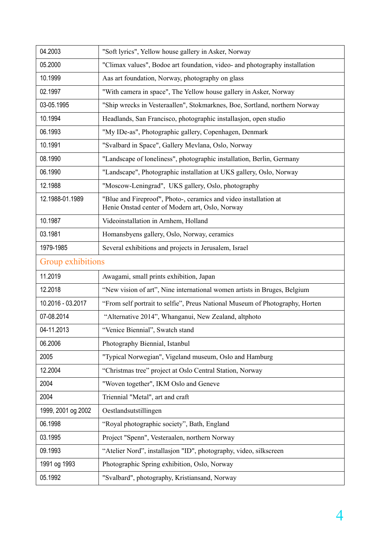| 04.2003            | "Soft lyrics", Yellow house gallery in Asker, Norway                                                                |
|--------------------|---------------------------------------------------------------------------------------------------------------------|
| 05.2000            | "Climax values", Bodoe art foundation, video- and photography installation                                          |
| 10.1999            | Aas art foundation, Norway, photography on glass                                                                    |
| 02.1997            | "With camera in space", The Yellow house gallery in Asker, Norway                                                   |
| 03-05.1995         | "Ship wrecks in Vesteraallen", Stokmarknes, Boe, Sortland, northern Norway                                          |
| 10.1994            | Headlands, San Francisco, photographic installasjon, open studio                                                    |
| 06.1993            | "My IDe-as", Photographic gallery, Copenhagen, Denmark                                                              |
| 10.1991            | "Svalbard in Space", Gallery Mevlana, Oslo, Norway                                                                  |
| 08.1990            | "Landscape of loneliness", photographic installation, Berlin, Germany                                               |
| 06.1990            | "Landscape", Photographic installation at UKS gallery, Oslo, Norway                                                 |
| 12.1988            | "Moscow-Leningrad", UKS gallery, Oslo, photography                                                                  |
| 12.1988-01.1989    | "Blue and Fireproof", Photo-, ceramics and video installation at<br>Henie Onstad center of Modern art, Oslo, Norway |
| 10.1987            | Videoinstallation in Arnhem, Holland                                                                                |
| 03.1981            | Homansbyens gallery, Oslo, Norway, ceramics                                                                         |
| 1979-1985          | Several exhibitions and projects in Jerusalem, Israel                                                               |
| Group exhibitions  |                                                                                                                     |
| 11.2019            | Awagami, small prints exhibition, Japan                                                                             |
| 12.2018            | "New vision of art", Nine international women artists in Bruges, Belgium                                            |
| 10.2016 - 03.2017  | "From self portrait to selfie", Preus National Museum of Photography, Horten                                        |
| 07-08.2014         | "Alternative 2014", Whanganui, New Zealand, altphoto                                                                |
| 04-11.2013         | "Venice Biennial", Swatch stand                                                                                     |
| 06.2006            | Photography Biennial, Istanbul                                                                                      |
| 2005               | "Typical Norwegian", Vigeland museum, Oslo and Hamburg                                                              |
| 12.2004            | "Christmas tree" project at Oslo Central Station, Norway                                                            |
| 2004               | "Woven together", IKM Oslo and Geneve                                                                               |
| 2004               | Triennial "Metal", art and craft                                                                                    |
| 1999, 2001 og 2002 | Oestlandsutstillingen                                                                                               |
| 06.1998            | "Royal photographic society", Bath, England                                                                         |
| 03.1995            | Project "Spenn", Vesteraalen, northern Norway                                                                       |
| 09.1993            | "Atelier Nord", installasjon "ID", photography, video, silkscreen                                                   |
| 1991 og 1993       | Photographic Spring exhibition, Oslo, Norway                                                                        |
| 05.1992            | "Svalbard", photography, Kristiansand, Norway                                                                       |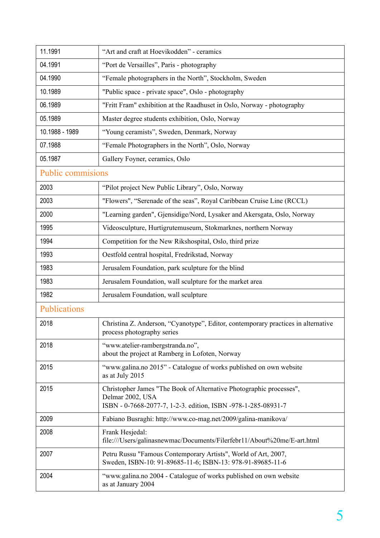| 11.1991                  | "Art and craft at Hoevikodden" - ceramics                                                                                                                |  |
|--------------------------|----------------------------------------------------------------------------------------------------------------------------------------------------------|--|
| 04.1991                  | "Port de Versailles", Paris - photography                                                                                                                |  |
| 04.1990                  | "Female photographers in the North", Stockholm, Sweden                                                                                                   |  |
| 10.1989                  | "Public space - private space", Oslo - photography                                                                                                       |  |
| 06.1989                  | "Fritt Fram" exhibition at the Raadhuset in Oslo, Norway - photography                                                                                   |  |
| 05.1989                  | Master degree students exhibition, Oslo, Norway                                                                                                          |  |
| 10.1988 - 1989           | "Young ceramists", Sweden, Denmark, Norway                                                                                                               |  |
| 07.1988                  | "Female Photographers in the North", Oslo, Norway                                                                                                        |  |
| 05.1987                  | Gallery Foyner, ceramics, Oslo                                                                                                                           |  |
| <b>Public commisions</b> |                                                                                                                                                          |  |
| 2003                     | "Pilot project New Public Library", Oslo, Norway                                                                                                         |  |
| 2003                     | "Flowers", "Serenade of the seas", Royal Caribbean Cruise Line (RCCL)                                                                                    |  |
| 2000                     | "Learning garden", Gjensidige/Nord, Lysaker and Akersgata, Oslo, Norway                                                                                  |  |
| 1995                     | Videosculpture, Hurtigrutemuseum, Stokmarknes, northern Norway                                                                                           |  |
| 1994                     | Competition for the New Rikshospital, Oslo, third prize                                                                                                  |  |
| 1993                     | Oestfold central hospital, Fredrikstad, Norway                                                                                                           |  |
| 1983                     | Jerusalem Foundation, park sculpture for the blind                                                                                                       |  |
| 1983                     | Jerusalem Foundation, wall sculpture for the market area                                                                                                 |  |
| 1982                     | Jerusalem Foundation, wall sculpture                                                                                                                     |  |
| Publications             |                                                                                                                                                          |  |
| 2018                     | Christina Z. Anderson, "Cyanotype", Editor, contemporary practices in alternative<br>process photography series                                          |  |
| 2018                     | "www.atelier-rambergstranda.no",<br>about the project at Ramberg in Lofoten, Norway                                                                      |  |
| 2015                     | "www.galina.no 2015" - Catalogue of works published on own website<br>as at July 2015                                                                    |  |
| 2015                     | Christopher James "The Book of Alternative Photographic processes",<br>Delmar 2002, USA<br>ISBN - 0-7668-2077-7, 1-2-3. edition, ISBN -978-1-285-08931-7 |  |
| 2009                     | Fabiano Busraghi: http://www.co-mag.net/2009/galina-manikova/                                                                                            |  |
| 2008                     | Frank Hesjedal:<br>file:///Users/galinasnewmac/Documents/Filerfebr11/About%20me/E-art.html                                                               |  |
| 2007                     | Petru Russu "Famous Contemporary Artists", World of Art, 2007,<br>Sweden, ISBN-10: 91-89685-11-6; ISBN-13: 978-91-89685-11-6                             |  |
| 2004                     | "www.galina.no 2004 - Catalogue of works published on own website<br>as at January 2004                                                                  |  |